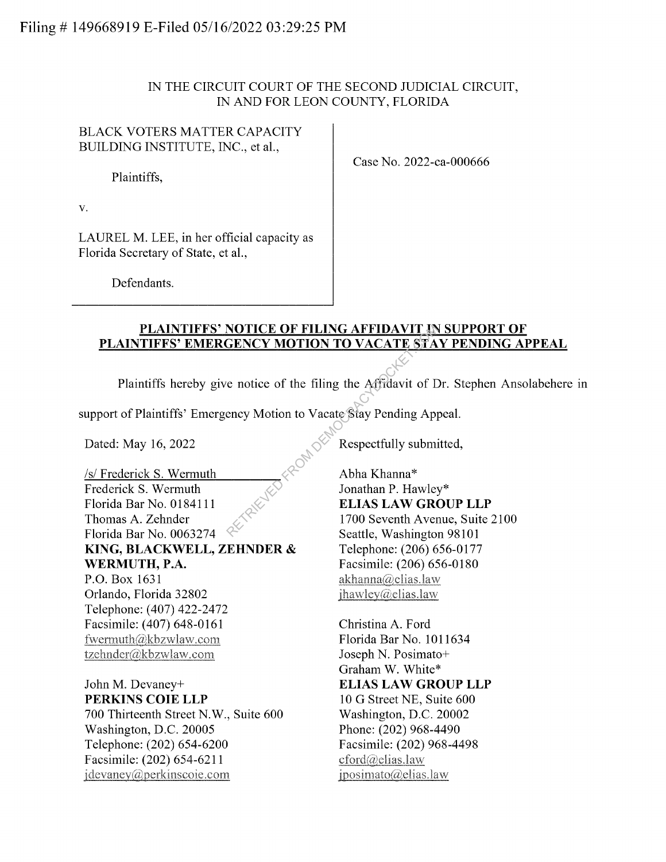# IN THE CIRCUIT COURT OF THE SECOND JUDICIAL CIRCUIT, IN AND FOR LEON COUNTY, FLORIDA

# BLACK VOTERS MATTER CAPACITY BUILDING INSTITUTE, INC., et al.,

Plaintiffs,

Case No. 2022-ca-000666

V.

LAUREL M. LEE, in her official capacity as Florida Secretary of State, et al.,

Defendants.

#### **PLAINTIFFS' NOTICE OF FILING AFFIDAVIT IN SUPPORT OF PLAINTIFFS' EMERGENCY MOTION TO VACATE STAY PENDING APPEAL**

Plaintiffs hereby give notice of the filing the Affidavit of Dr. Stephen Ansolabehere in

support of Plaintiffs' Emergency Motion to Vacate Stay Pending Appeal.

Dated: May 16, 2022

/s/ Frederick S. Wermuth Frederick S. Wermuth Florida Bar No. 0184111 Thomas A. Zehnder Florida Bar No. 0063274 **KING, BLACKWELL, ZEHNDER** & **WERMUTH, P.A.**  P.O. Box 1631 Orlando, Florida 32802 Telephone: (407) 422-2472 Facsimile: (407) 648-0161 t\vennuth(d)kbzwlaw.com tzchnder(a)kbzwlaw.com

John M. Devaney+ **PERKINS COIE LLP**  700 Thirteenth Street N.W., Suite 600 Washington, D.C. 20005 Telephone: (202) 654-6200 Facsimile: (202) 654-6211 jdevaney@perkinscoie.com

Respectfully submitted,

Abha Khanna\* Jonathan P. Hawley\* **ELIAS LAW GROUP LLP**  1700 Seventh Avenue, Suite 2100 Seattle, Washington 98101 Telephone: (206) 656-0177 Facsimile: (206) 656-0180  $akhanna@elias.law$  $ihawley@clias.law$ NOTICE OF FILING AFFIDAVIT IN<br>
GENCY MOTION TO VACATE STA<br>
e notice of the filing the Affidavit of D<br>
ency Motion to Vacate Stay Pending App<br>
Respectfully submi<br>
Respectfully submi<br>
Abha Khanna\*<br>
Jonathan P. Hawley<br>
ELIAS

> Christina A. Ford Florida Bar No. 1011634 Joseph N. Posimato+ Graham W. White\* **ELIAS LAW GROUP LLP**  10 G Street NE, Suite 600 Washington, D.C. 20002 Phone: (202) 968-4490 Facsimile: (202) 968-4498 cford@elias.law  $iposimato(@elias.law)$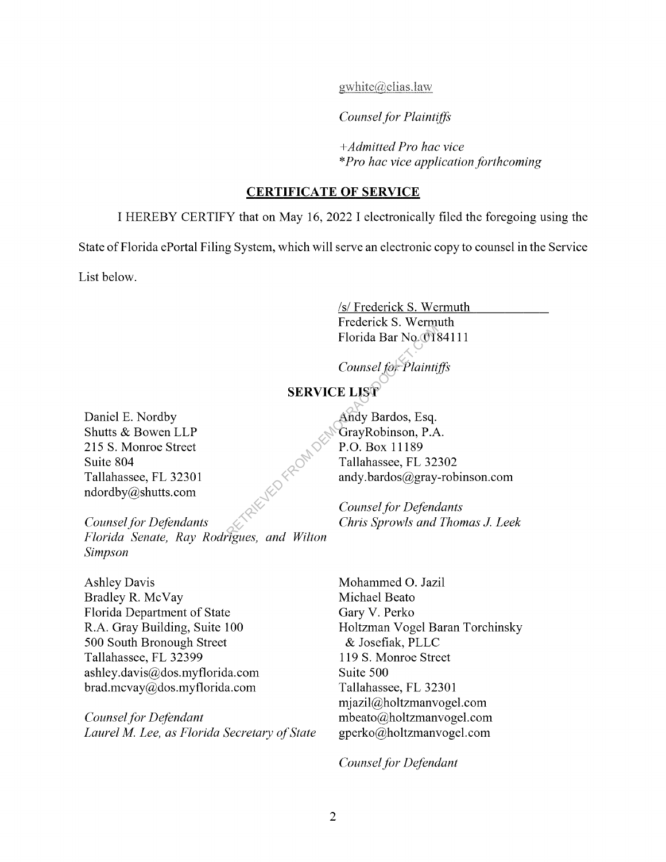$gwhite(@elias. law)$ 

*Counsel for Plaintiffs* 

*+Admitted Pro hac vice*  \* *Pro hac vice application forthcoming* 

#### **CERTIFICATE OF SERVICE**

I HEREBY CERTIFY that on May 16, 2022 I electronically filed the foregoing using the

State of Florida ePortal Filing System, which will serve an electronic copy to counsel in the Service

List below.

/s/ Frederick S. Wermuth Frederick S. Wermuth Florida Bar No. 0184111

*Counsel for Plaintiffs* 

# **SERVICE LIST**

Daniel E. Nordby Shutts & Bowen LLP 215 S. Monroe Street Suite 804 Tallahassee, FL 32301 ndordby@shutts.com

*Counsel for Defendants Florida Senate, Ray Rodrigues, and Wilton Simpson* 

Ashley Davis Bradley R. McVay Florida Department of State R.A. Gray Building, Suite 100 500 South Bronough Street Tallahassee, FL 32399 ashley.davis@dos.myflorida.com brad.mcvay@dos.myflorida.com

*Counsel for Defendant Laurel M. Lee, as Florida Secretary of State* 

Andy Bardos, Esq. GrayRobinson, P.A. P.O. Box 11189 Tallahassee, FL 32302 andy. bardos@gray-robinson.com Florida Bar No. 018<br>
Counsel for Plainti,<br>
SERVICE LIST<br>
Andy Bardos, Esq.<br>
GrayRobinson, P.A<br>
P.O. Box 11189<br>
Tallahassee, FL 32:<br>
andy.bardos@gray<br>
Counsel for Defena<br>
Chris Sprowls and

*Counsel for Defendants Chris Sprowls and Thomas J Leek* 

Mohammed 0. Jazil Michael Beato Gary V. Perko Holtzman Vogel Baran Torchinsky & Josefiak, PLLC 119 S. Monroe Street Suite 500 Tallahassee, FL 32301 mjazil@holtzmanvogel.com mbeato@holtzmanvogel.com gperko@holtzmanvogel.com

*Counsel for Defendant*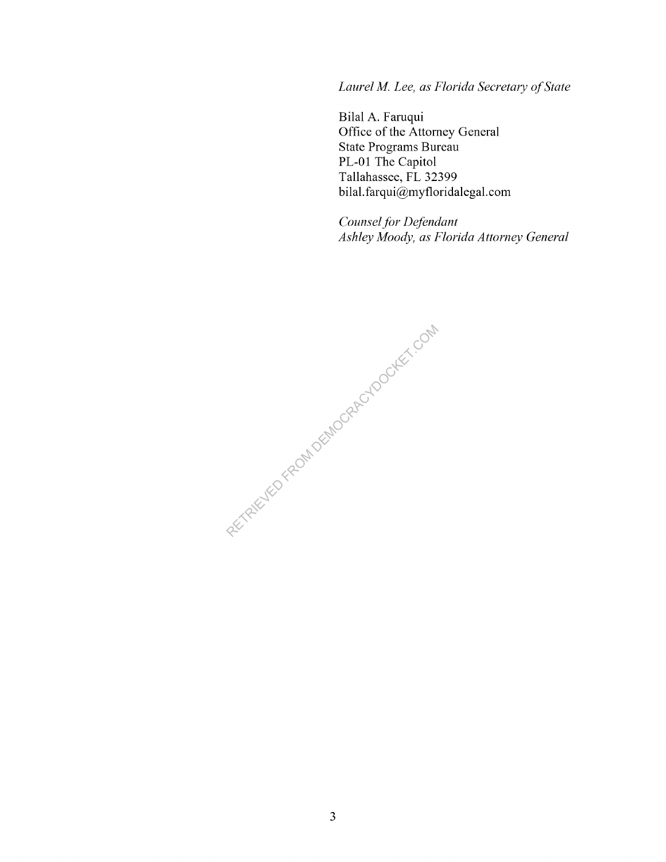*Laurel M. Lee, as Florida Secretary of State* 

Bilal A. Faruqui Office of the Attorney General State Programs Bureau PL-01 The Capitol Tallahassee, FL 32399 bilal.farqui@myfloridalegal.com

*Counsel for Defendant Ashley Moody, as Florida Attorney General* 

RECTRICITED FROM DEMOCRACY DOCKET.COM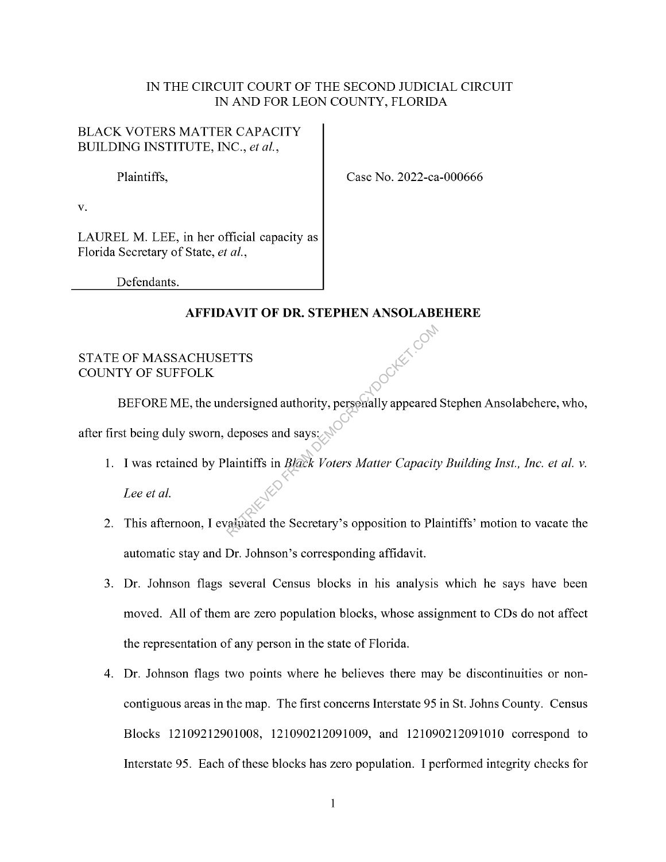#### IN THE CIRCUIT COURT OF THE SECOND JUDICIAL CIRCUIT IN AND FOR LEON COUNTY, FLORIDA

## BLACK VOTERS MATTER CAPACITY BUILDING INSTITUTE, INC., *et al.,*

Plaintiffs, Case No. 2022-ca-000666

V.

LAUREL M. LEE, in her official capacity as Florida Secretary of State, *et al.,* 

Defendants.

### **AFFIDAVIT OF DR. STEPHEN ANSOLABEHERE**

### STATE OF MASSACHUSETTS COUNTY OF SUFFOLK

BEFORE ME, the undersigned authority, personally appeared Stephen Ansolabehere, who, after first being duly sworn, deposes and says: ETTS<br>
dersigned authority, personally appeared<br>
deposes and says:<br>
laintiffs in *Black Voters Matter Capacity*<br>
rainated the Secretary's opposition to Pla

1. I was retained by Plaintiffs in *Black Voters Matter Capacity Building Inst., Inc. et al. v.* 

*Lee et al.* 

- 2. This afternoon, I evaluated the Secretary's opposition to Plaintiffs' motion to vacate the automatic stay and Dr. Johnson's corresponding affidavit.
- 3. Dr. Johnson flags several Census blocks in his analysis which he says have been moved. All of them are zero population blocks, whose assignment to CDs do not affect the representation of any person in the state of Florida.
- 4. Dr. Johnson flags two points where he believes there may be discontinuities or noncontiguous areas in the map. The first concerns Interstate 95 in St. Johns County. Census Blocks 12109212901008, 121090212091009, and 121090212091010 correspond to Interstate 95. Each of these blocks has zero population. I performed integrity checks for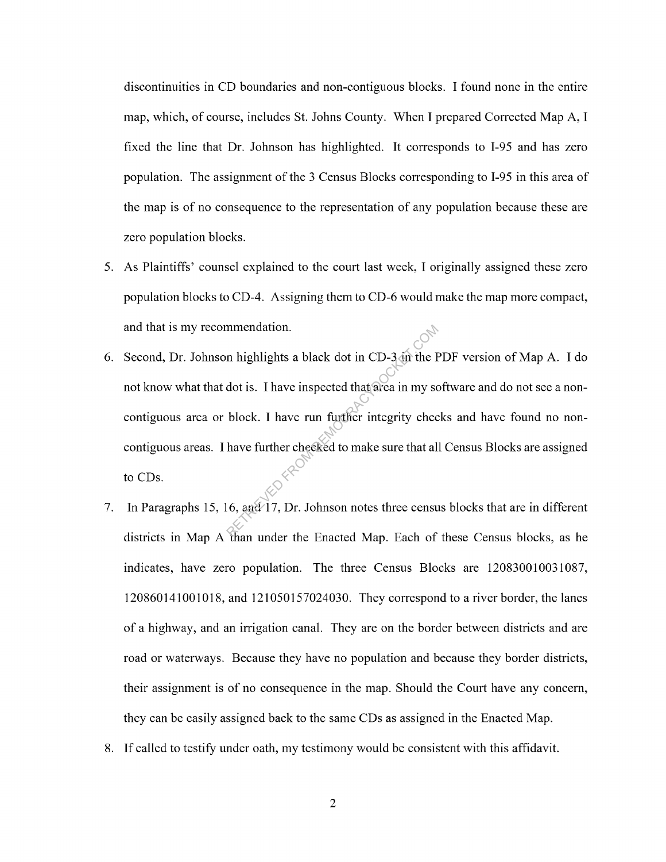discontinuities in CD boundaries and non-contiguous blocks. I found none in the entire map, which, of course, includes St. Johns County. When I prepared Corrected Map A, I fixed the line that Dr. Johnson has highlighted. It corresponds to I-95 and has zero population. The assignment of the 3 Census Blocks corresponding to I-95 in this area of the map is of no consequence to the representation of any population because these are zero population blocks.

- 5. As Plaintiffs' counsel explained to the court last week, I originally assigned these zero population blocks to CD-4. Assigning them to CD-6 would make the map more compact, and that is my recommendation.
- 6. Second, Dr. Johnson highlights a black dot in CD-3 in the PDF version of Map A. I do not know what that dot is. I have inspected that area in my software and do not see a noncontiguous area or block. I have run further integrity checks and have found no noncontiguous areas. I have further checked to make sure that all Census Blocks are assigned to CDs. mendation.<br>
In highlights a black dot in CD-3 in the F<br>
dot is. I have inspected that area in my so<br>
block. I have run further integrity chec<br>
have further checked to make sure that all<br>  $\begin{pmatrix} 0 & 0 \\ 0 & 0 \end{pmatrix}$ <br>  $\begin{pmatrix}$
- 7. In Paragraphs 15, 16, and 17, Dr. Johnson notes three census blocks that are in different districts in Map A than under the Enacted Map. Each of these Census blocks, as he indicates, have zero population. The three Census Blocks are 120830010031087, 120860141001018, and 121050157024030. They correspond to a river border, the lanes of a highway, and an irrigation canal. They are on the border between districts and are road or waterways. Because they have no population and because they border districts, their assignment is of no consequence in the map. Should the Court have any concern, they can be easily assigned back to the same CDs as assigned in the Enacted Map.
- 8. If called to testify under oath, my testimony would be consistent with this affidavit.